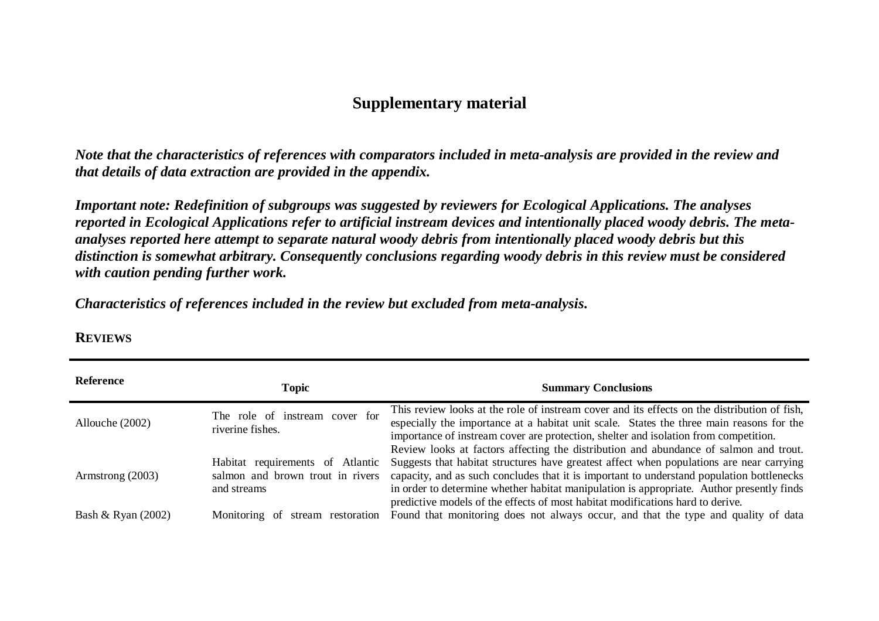## **Supplementary material**

*Note that the characteristics of references with comparators included in meta-analysis are provided in the review and that details of data extraction are provided in the appendix.*

*Important note: Redefinition of subgroups was suggested by reviewers for Ecological Applications. The analyses reported in Ecological Applications refer to artificial instream devices and intentionally placed woody debris. The metaanalyses reported here attempt to separate natural woody debris from intentionally placed woody debris but this distinction is somewhat arbitrary. Consequently conclusions regarding woody debris in this review must be considered with caution pending further work.* 

*Characteristics of references included in the review but excluded from meta-analysis.*

| Reference          | <b>Topic</b>                                                                        | <b>Summary Conclusions</b>                                                                                                                                                                                                                                                                                                                                                                                                                                    |
|--------------------|-------------------------------------------------------------------------------------|---------------------------------------------------------------------------------------------------------------------------------------------------------------------------------------------------------------------------------------------------------------------------------------------------------------------------------------------------------------------------------------------------------------------------------------------------------------|
| Allouche (2002)    | The role of instream cover for<br>riverine fishes.                                  | This review looks at the role of instream cover and its effects on the distribution of fish,<br>especially the importance at a habitat unit scale. States the three main reasons for the<br>importance of instream cover are protection, shelter and isolation from competition.                                                                                                                                                                              |
| Armstrong (2003)   | Habitat requirements of Atlantic<br>salmon and brown trout in rivers<br>and streams | Review looks at factors affecting the distribution and abundance of salmon and trout.<br>Suggests that habitat structures have greatest affect when populations are near carrying<br>capacity, and as such concludes that it is important to understand population bottlenecks<br>in order to determine whether habitat manipulation is appropriate. Author presently finds<br>predictive models of the effects of most habitat modifications hard to derive. |
| Bash & Ryan (2002) | Monitoring of stream restoration                                                    | Found that monitoring does not always occur, and that the type and quality of data                                                                                                                                                                                                                                                                                                                                                                            |

## **REVIEWS**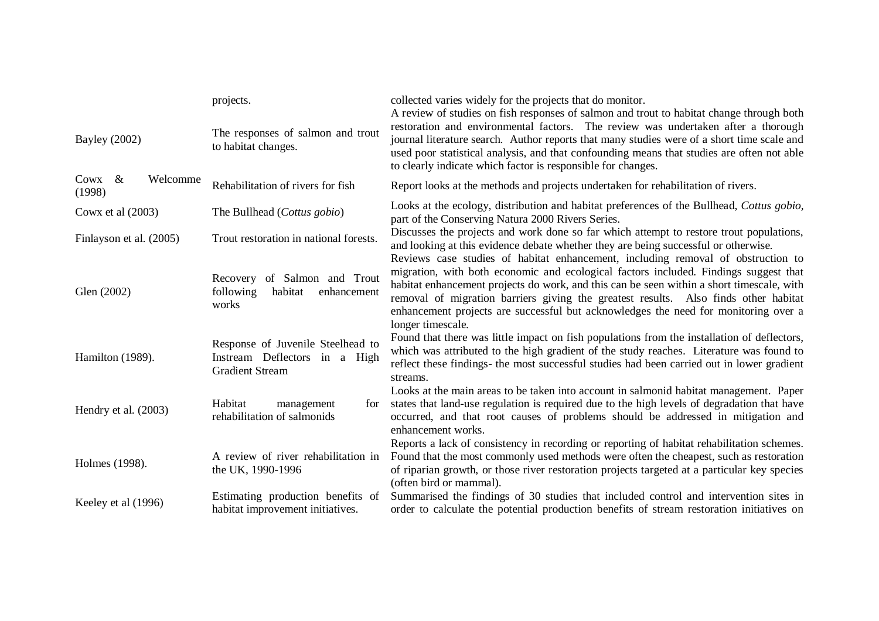| <b>Bayley</b> (2002)            | projects.<br>The responses of salmon and trout<br>to habitat changes.                        | collected varies widely for the projects that do monitor.<br>A review of studies on fish responses of salmon and trout to habitat change through both<br>restoration and environmental factors. The review was undertaken after a thorough<br>journal literature search. Author reports that many studies were of a short time scale and<br>used poor statistical analysis, and that confounding means that studies are often not able<br>to clearly indicate which factor is responsible for changes. |  |
|---------------------------------|----------------------------------------------------------------------------------------------|--------------------------------------------------------------------------------------------------------------------------------------------------------------------------------------------------------------------------------------------------------------------------------------------------------------------------------------------------------------------------------------------------------------------------------------------------------------------------------------------------------|--|
| Cowx $\&$<br>Welcomme<br>(1998) | Rehabilitation of rivers for fish                                                            | Report looks at the methods and projects undertaken for rehabilitation of rivers.                                                                                                                                                                                                                                                                                                                                                                                                                      |  |
| Cowx et al $(2003)$             | The Bullhead (Cottus gobio)                                                                  | Looks at the ecology, distribution and habitat preferences of the Bullhead, Cottus gobio,<br>part of the Conserving Natura 2000 Rivers Series.                                                                                                                                                                                                                                                                                                                                                         |  |
| Finlayson et al. (2005)         | Trout restoration in national forests.                                                       | Discusses the projects and work done so far which attempt to restore trout populations,<br>and looking at this evidence debate whether they are being successful or otherwise.                                                                                                                                                                                                                                                                                                                         |  |
| Glen (2002)                     | Recovery of Salmon and Trout<br>habitat<br>following<br>enhancement<br>works                 | Reviews case studies of habitat enhancement, including removal of obstruction to<br>migration, with both economic and ecological factors included. Findings suggest that<br>habitat enhancement projects do work, and this can be seen within a short timescale, with<br>removal of migration barriers giving the greatest results. Also finds other habitat<br>enhancement projects are successful but acknowledges the need for monitoring over a<br>longer timescale.                               |  |
| Hamilton (1989).                | Response of Juvenile Steelhead to<br>Instream Deflectors in a High<br><b>Gradient Stream</b> | Found that there was little impact on fish populations from the installation of deflectors,<br>which was attributed to the high gradient of the study reaches. Literature was found to<br>reflect these findings- the most successful studies had been carried out in lower gradient<br>streams.                                                                                                                                                                                                       |  |
| Hendry et al. (2003)            | Habitat<br>management<br>for<br>rehabilitation of salmonids                                  | Looks at the main areas to be taken into account in salmonid habitat management. Paper<br>states that land-use regulation is required due to the high levels of degradation that have<br>occurred, and that root causes of problems should be addressed in mitigation and<br>enhancement works.                                                                                                                                                                                                        |  |
| Holmes (1998).                  | A review of river rehabilitation in<br>the UK, 1990-1996                                     | Reports a lack of consistency in recording or reporting of habitat rehabilitation schemes.<br>Found that the most commonly used methods were often the cheapest, such as restoration<br>of riparian growth, or those river restoration projects targeted at a particular key species<br>(often bird or mammal).                                                                                                                                                                                        |  |
| Keeley et al (1996)             | Estimating production benefits of<br>habitat improvement initiatives.                        | Summarised the findings of 30 studies that included control and intervention sites in<br>order to calculate the potential production benefits of stream restoration initiatives on                                                                                                                                                                                                                                                                                                                     |  |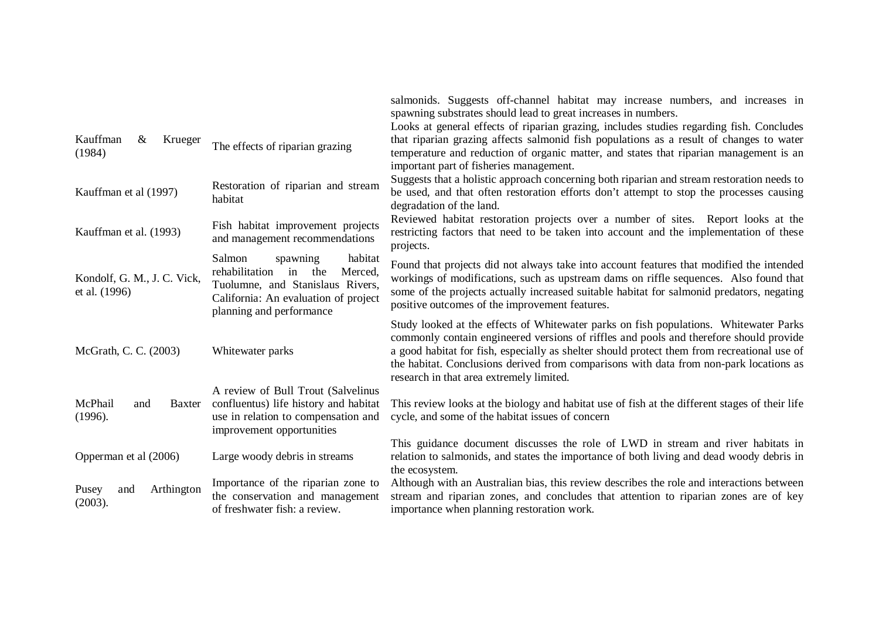|                                                                                                                                                                                                                           |                                 | salmonids. Suggests off-channel habitat may increase numbers, and increases in<br>spawning substrates should lead to great increases in numbers.                                                                                                                                                                                                                                                                     |
|---------------------------------------------------------------------------------------------------------------------------------------------------------------------------------------------------------------------------|---------------------------------|----------------------------------------------------------------------------------------------------------------------------------------------------------------------------------------------------------------------------------------------------------------------------------------------------------------------------------------------------------------------------------------------------------------------|
|                                                                                                                                                                                                                           |                                 | Looks at general effects of riparian grazing, includes studies regarding fish. Concludes                                                                                                                                                                                                                                                                                                                             |
| Kauffman<br>Krueger<br>&<br>(1984)                                                                                                                                                                                        | The effects of riparian grazing | that riparian grazing affects salmonid fish populations as a result of changes to water<br>temperature and reduction of organic matter, and states that riparian management is an<br>important part of fisheries management.                                                                                                                                                                                         |
| Restoration of riparian and stream<br>Kauffman et al (1997)<br>habitat                                                                                                                                                    |                                 | Suggests that a holistic approach concerning both riparian and stream restoration needs to<br>be used, and that often restoration efforts don't attempt to stop the processes causing<br>degradation of the land.                                                                                                                                                                                                    |
| Fish habitat improvement projects<br>Kauffman et al. (1993)<br>and management recommendations                                                                                                                             |                                 | Reviewed habitat restoration projects over a number of sites. Report looks at the<br>restricting factors that need to be taken into account and the implementation of these<br>projects.                                                                                                                                                                                                                             |
| Salmon<br>habitat<br>spawning<br>rehabilitation in the<br>Merced,<br>Kondolf, G. M., J. C. Vick,<br>Tuolumne, and Stanislaus Rivers,<br>et al. (1996)<br>California: An evaluation of project<br>planning and performance |                                 | Found that projects did not always take into account features that modified the intended<br>workings of modifications, such as upstream dams on riffle sequences. Also found that<br>some of the projects actually increased suitable habitat for salmonid predators, negating<br>positive outcomes of the improvement features.                                                                                     |
| McGrath, C. C. (2003)<br>Whitewater parks                                                                                                                                                                                 |                                 | Study looked at the effects of Whitewater parks on fish populations. Whitewater Parks<br>commonly contain engineered versions of riffles and pools and therefore should provide<br>a good habitat for fish, especially as shelter should protect them from recreational use of<br>the habitat. Conclusions derived from comparisons with data from non-park locations as<br>research in that area extremely limited. |
| A review of Bull Trout (Salvelinus<br>confluentus) life history and habitat<br>McPhail<br>and<br>Baxter<br>use in relation to compensation and<br>(1996).<br>improvement opportunities                                    |                                 | This review looks at the biology and habitat use of fish at the different stages of their life<br>cycle, and some of the habitat issues of concern                                                                                                                                                                                                                                                                   |
| Opperman et al (2006)<br>Large woody debris in streams                                                                                                                                                                    |                                 | This guidance document discusses the role of LWD in stream and river habitats in<br>relation to salmonids, and states the importance of both living and dead woody debris in<br>the ecosystem.                                                                                                                                                                                                                       |
| Importance of the riparian zone to<br>Arthington<br>Pusey<br>and<br>the conservation and management<br>(2003).<br>of freshwater fish: a review.                                                                           |                                 | Although with an Australian bias, this review describes the role and interactions between<br>stream and riparian zones, and concludes that attention to riparian zones are of key<br>importance when planning restoration work.                                                                                                                                                                                      |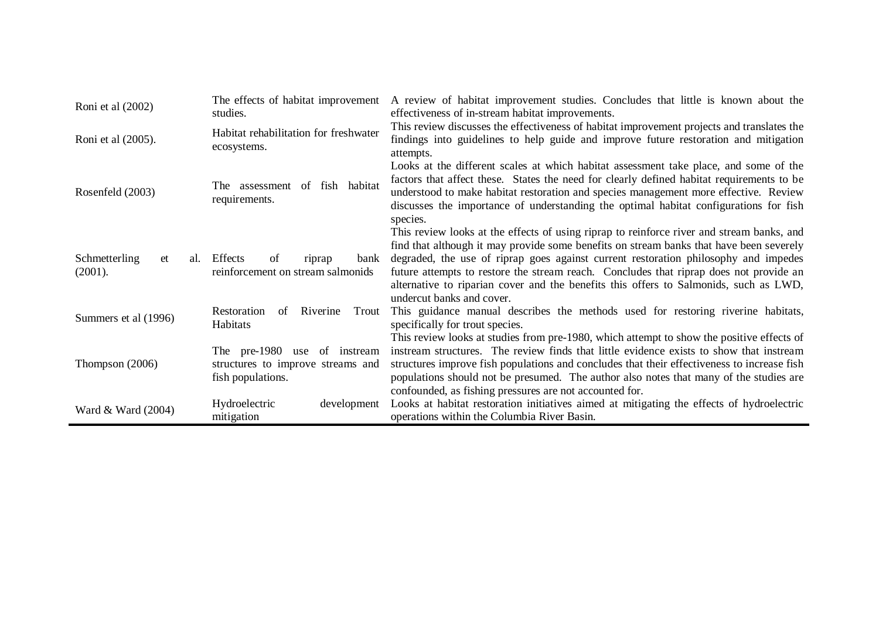| Roni et al (2002)                     | The effects of habitat improvement<br>studies.                                         | A review of habitat improvement studies. Concludes that little is known about the<br>effectiveness of in-stream habitat improvements.                                                                                                                                                                                                                                                                                                                                                       |
|---------------------------------------|----------------------------------------------------------------------------------------|---------------------------------------------------------------------------------------------------------------------------------------------------------------------------------------------------------------------------------------------------------------------------------------------------------------------------------------------------------------------------------------------------------------------------------------------------------------------------------------------|
| Roni et al (2005).                    | Habitat rehabilitation for freshwater<br>ecosystems.                                   | This review discusses the effectiveness of habitat improvement projects and translates the<br>findings into guidelines to help guide and improve future restoration and mitigation<br>attempts.                                                                                                                                                                                                                                                                                             |
| Rosenfeld (2003)                      | of fish habitat<br>The assessment<br>requirements.                                     | Looks at the different scales at which habitat assessment take place, and some of the<br>factors that affect these. States the need for clearly defined habitat requirements to be<br>understood to make habitat restoration and species management more effective. Review<br>discusses the importance of understanding the optimal habitat configurations for fish<br>species.                                                                                                             |
| Schmetterling<br>et<br>al.<br>(2001). | Effects<br>of<br>bank<br>riprap<br>reinforcement on stream salmonids                   | This review looks at the effects of using riprap to reinforce river and stream banks, and<br>find that although it may provide some benefits on stream banks that have been severely<br>degraded, the use of riprap goes against current restoration philosophy and impedes<br>future attempts to restore the stream reach. Concludes that riprap does not provide an<br>alternative to riparian cover and the benefits this offers to Salmonids, such as LWD,<br>undercut banks and cover. |
| Summers et al (1996)                  | Restoration<br>Riverine<br>of<br>Trout<br>Habitats                                     | This guidance manual describes the methods used for restoring riverine habitats,<br>specifically for trout species.                                                                                                                                                                                                                                                                                                                                                                         |
| Thompson $(2006)$                     | The pre-1980 use of instream<br>structures to improve streams and<br>fish populations. | This review looks at studies from pre-1980, which attempt to show the positive effects of<br>instream structures. The review finds that little evidence exists to show that instream<br>structures improve fish populations and concludes that their effectiveness to increase fish<br>populations should not be presumed. The author also notes that many of the studies are<br>confounded, as fishing pressures are not accounted for.                                                    |
| Ward & Ward (2004)                    | Hydroelectric<br>development<br>mitigation                                             | Looks at habitat restoration initiatives aimed at mitigating the effects of hydroelectric<br>operations within the Columbia River Basin.                                                                                                                                                                                                                                                                                                                                                    |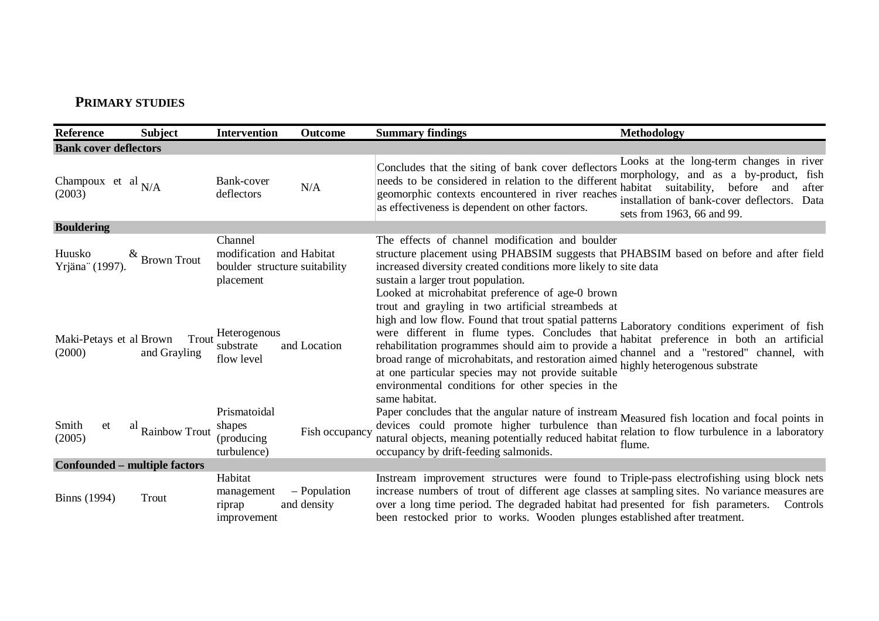## **PRIMARY STUDIES**

| Reference                         | <b>Subject</b>                | <b>Intervention</b>                                                               | Outcome                     | <b>Summary findings</b>                                                                                                                                                                                                                                                                                                                                                                                                                      | <b>Methodology</b>                                                                                                                                                                                                 |
|-----------------------------------|-------------------------------|-----------------------------------------------------------------------------------|-----------------------------|----------------------------------------------------------------------------------------------------------------------------------------------------------------------------------------------------------------------------------------------------------------------------------------------------------------------------------------------------------------------------------------------------------------------------------------------|--------------------------------------------------------------------------------------------------------------------------------------------------------------------------------------------------------------------|
| <b>Bank cover deflectors</b>      |                               |                                                                                   |                             |                                                                                                                                                                                                                                                                                                                                                                                                                                              |                                                                                                                                                                                                                    |
| Champoux et al $N/A$<br>(2003)    |                               | Bank-cover<br>deflectors                                                          | N/A                         | Concludes that the siting of bank cover deflectors<br>needs to be considered in relation to the different<br>geomorphic contexts encountered in river reaches<br>as effectiveness is dependent on other factors.                                                                                                                                                                                                                             | Looks at the long-term changes in river<br>morphology, and as a by-product, fish<br>habitat suitability,<br>before<br>and<br>after<br>installation of bank-cover deflectors.<br>Data<br>sets from 1963, 66 and 99. |
| <b>Bouldering</b>                 |                               |                                                                                   |                             |                                                                                                                                                                                                                                                                                                                                                                                                                                              |                                                                                                                                                                                                                    |
| Huusko<br>Yrjäna" (1997).         | <b>Brown Trout</b>            | Channel<br>modification and Habitat<br>boulder structure suitability<br>placement |                             | The effects of channel modification and boulder<br>structure placement using PHABSIM suggests that PHABSIM based on before and after field<br>increased diversity created conditions more likely to site data<br>sustain a larger trout population.<br>Looked at microhabitat preference of age-0 brown                                                                                                                                      |                                                                                                                                                                                                                    |
| Maki-Petays et al Brown<br>(2000) | Trout<br>and Grayling         | Heterogenous<br>substrate<br>flow level                                           | and Location                | trout and grayling in two artificial streambeds at<br>high and low flow. Found that trout spatial patterns<br>were different in flume types. Concludes that habitat preference in both an artificial<br>rehabilitation programmes should aim to provide a<br>broad range of microhabitats, and restoration aimed<br>at one particular species may not provide suitable<br>environmental conditions for other species in the<br>same habitat. | Laboratory conditions experiment of fish<br>channel and a "restored" channel, with<br>highly heterogenous substrate                                                                                                |
| Smith<br>et<br>(2005)             | al<br><b>Rainbow Trout</b>    | Prismatoidal<br>shapes<br>(producing)<br>turbulence)                              | Fish occupancy              | Paper concludes that the angular nature of instream Measured fish location and focal points in<br>devices could promote higher turbulence than<br>natural objects, meaning potentially reduced habitat flume.<br>occupancy by drift-feeding salmonids.                                                                                                                                                                                       | relation to flow turbulence in a laboratory                                                                                                                                                                        |
|                                   | Confounded – multiple factors |                                                                                   |                             |                                                                                                                                                                                                                                                                                                                                                                                                                                              |                                                                                                                                                                                                                    |
| <b>Binns</b> (1994)               | Trout                         | Habitat<br>management<br>riprap<br>improvement                                    | - Population<br>and density | Instream improvement structures were found to Triple-pass electrofishing using block nets<br>increase numbers of trout of different age classes at sampling sites. No variance measures are<br>over a long time period. The degraded habitat had presented for fish parameters.<br>been restocked prior to works. Wooden plunges established after treatment.                                                                                | Controls                                                                                                                                                                                                           |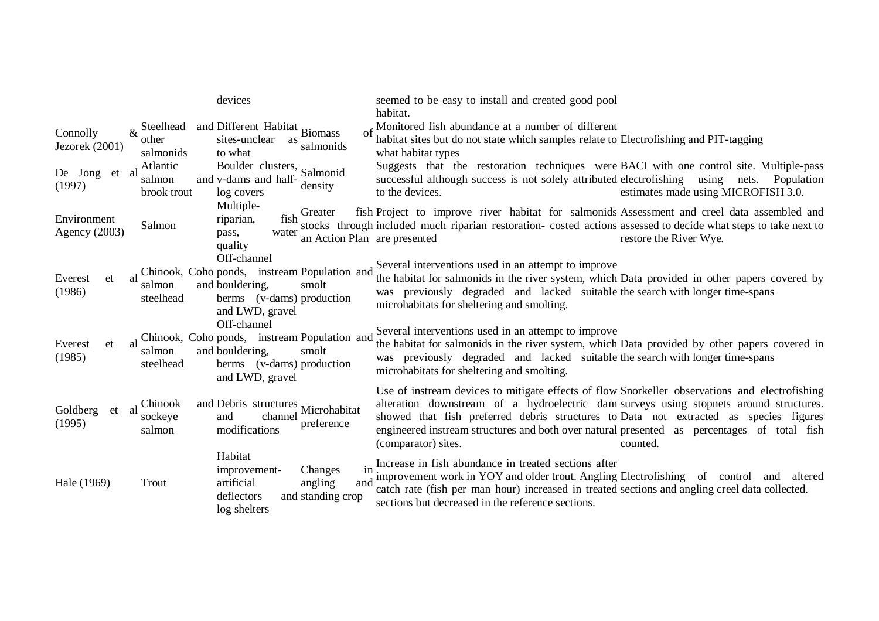|                              |                                                                | devices                                                                                                                                 | seemed to be easy to install and created good pool                                                                                                                                                                                                                                                                                                                                                                  |
|------------------------------|----------------------------------------------------------------|-----------------------------------------------------------------------------------------------------------------------------------------|---------------------------------------------------------------------------------------------------------------------------------------------------------------------------------------------------------------------------------------------------------------------------------------------------------------------------------------------------------------------------------------------------------------------|
|                              |                                                                |                                                                                                                                         | habitat.                                                                                                                                                                                                                                                                                                                                                                                                            |
| Connolly<br>Jezorek (2001)   | Steelhead<br>$\mathcal{R}_{\mathcal{L}}$<br>other<br>salmonids | and Different Habitat Biomass<br>sites-unclear<br>as<br>salmonids<br>to what                                                            | of Monitored fish abundance at a number of different<br>habitat sites but do not state which samples relate to Electrofishing and PIT-tagging<br>what habitat types                                                                                                                                                                                                                                                 |
| De Jong et al<br>(1997)      | Atlantic<br>salmon<br>brook trout                              | Boulder clusters, Salmonid<br>and v-dams and half-<br>density<br>log covers                                                             | Suggests that the restoration techniques were BACI with one control site. Multiple-pass<br>successful although success is not solely attributed electrofishing using<br>Population<br>nets.<br>to the devices.<br>estimates made using MICROFISH 3.0.                                                                                                                                                               |
| Environment<br>Agency (2003) | Salmon                                                         | Multiple-<br>Greater<br>fish<br>riparian,<br>water<br>pass,<br>an Action Plan are presented<br>quality                                  | fish Project to improve river habitat for salmonids Assessment and creel data assembled and<br>stocks through included much riparian restoration- costed actions assessed to decide what steps to take next to<br>restore the River Wye.                                                                                                                                                                            |
| Everest<br>et<br>(1986)      | <sup>2</sup><br>salmon<br>steelhead                            | Off-channel<br>Chinook, Coho ponds, instream Population and<br>and bouldering,<br>smolt<br>berms (v-dams) production<br>and LWD, gravel | Several interventions used in an attempt to improve<br>the habitat for salmonids in the river system, which Data provided in other papers covered by<br>was previously degraded and lacked suitable the search with longer time-spans<br>microhabitats for sheltering and smolting.                                                                                                                                 |
| Everest<br>et<br>(1985)      | a1<br>salmon<br>steelhead                                      | Off-channel<br>Chinook, Coho ponds, instream Population and<br>and bouldering,<br>smolt<br>berms (v-dams) production<br>and LWD, gravel | Several interventions used in an attempt to improve<br>the habitat for salmonids in the river system, which Data provided by other papers covered in<br>was previously degraded and lacked suitable the search with longer time-spans<br>microhabitats for sheltering and smolting.                                                                                                                                 |
| Goldberg<br>et al<br>(1995)  | Chinook<br>sockeye<br>salmon                                   | and Debris structures Microhabitat<br>channel<br>and<br>preference<br>modifications                                                     | Use of instream devices to mitigate effects of flow Snorkeller observations and electrofishing<br>alteration downstream of a hydroelectric dam surveys using stopnets around structures.<br>showed that fish preferred debris structures to Data not extracted as species figures<br>engineered instream structures and both over natural presented as percentages of total fish<br>(comparator) sites.<br>counted. |
| Hale (1969)                  | Trout                                                          | Habitat<br>Changes<br>improvement-<br>artificial<br>angling<br>and<br>deflectors<br>and standing crop<br>log shelters                   | Increase in fish abundance in treated sections after<br>$\text{in}$ !<br>improvement work in YOY and older trout. Angling Electrofishing of control and altered<br>catch rate (fish per man hour) increased in treated sections and angling creel data collected.<br>sections but decreased in the reference sections.                                                                                              |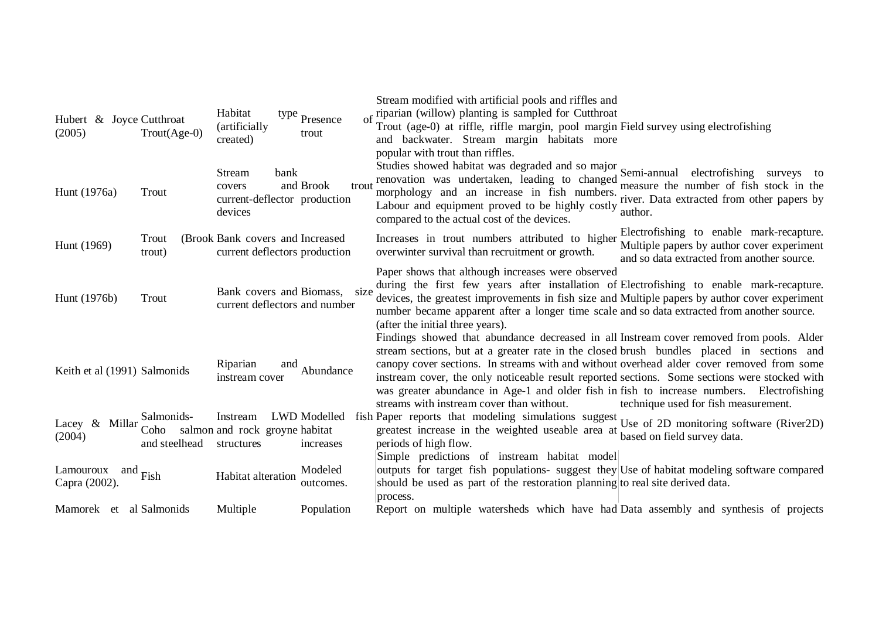| Hubert & Joyce Cutthroat<br>(2005) | $T_{\text{rout}}(Age-0)$            | Habitat<br>(artificially<br>created)                                | type Presence<br>trout    | Stream modified with artificial pools and riffles and<br>riparian (willow) planting is sampled for Cutthroat<br>Trout (age-0) at riffle, riffle margin, pool margin Field survey using electrofishing<br>and backwater. Stream margin habitats more<br>popular with trout than riffles.                                                                                                                                                                                                                                                                               |
|------------------------------------|-------------------------------------|---------------------------------------------------------------------|---------------------------|-----------------------------------------------------------------------------------------------------------------------------------------------------------------------------------------------------------------------------------------------------------------------------------------------------------------------------------------------------------------------------------------------------------------------------------------------------------------------------------------------------------------------------------------------------------------------|
| Hunt (1976a)                       | Trout                               | Stream<br>bank<br>covers<br>current-deflector production<br>devices | and Brook<br>trout        | Studies showed habitat was degraded and so major Semi-annual<br>electrofishing<br>surveys to<br>renovation was undertaken, leading to changed<br>measure the number of fish stock in the<br>morphology and an increase in fish numbers.<br>river. Data extracted from other papers by<br>Labour and equipment proved to be highly costly<br>author.<br>compared to the actual cost of the devices.                                                                                                                                                                    |
| Hunt (1969)                        | Trout<br>trout)                     | (Brook Bank covers and Increased<br>current deflectors production   |                           | Electrofishing to enable mark-recapture.<br>Increases in trout numbers attributed to higher<br>Multiple papers by author cover experiment<br>overwinter survival than recruitment or growth.<br>and so data extracted from another source.                                                                                                                                                                                                                                                                                                                            |
| Hunt (1976b)                       | Trout                               | Bank covers and Biomass,<br>current deflectors and number           | size                      | Paper shows that although increases were observed<br>during the first few years after installation of Electrofishing to enable mark-recapture.<br>devices, the greatest improvements in fish size and Multiple papers by author cover experiment<br>number became apparent after a longer time scale and so data extracted from another source.<br>(after the initial three years).                                                                                                                                                                                   |
| Keith et al (1991) Salmonids       |                                     | Riparian<br>and<br>instream cover                                   | Abundance                 | Findings showed that abundance decreased in all Instream cover removed from pools. Alder<br>stream sections, but at a greater rate in the closed brush bundles placed in sections and<br>canopy cover sections. In streams with and without overhead alder cover removed from some<br>instream cover, the only noticeable result reported sections. Some sections were stocked with<br>was greater abundance in Age-1 and older fish in fish to increase numbers. Electrofishing<br>streams with instream cover than without.<br>technique used for fish measurement. |
| Lacey $\&$<br>Millar<br>(2004)     | Salmonids-<br>Coho<br>and steelhead | Instream<br>salmon and rock groyne habitat<br>structures            | LWD Modelled<br>increases | fish Paper reports that modeling simulations suggest Use of 2D monitoring software (River2D)<br>greatest increase in the weighted useable area at<br>based on field survey data.<br>periods of high flow.                                                                                                                                                                                                                                                                                                                                                             |
| Lamouroux<br>and<br>Capra (2002).  | Fish                                | Habitat alteration                                                  | Modeled<br>outcomes.      | Simple predictions of instream habitat model<br>outputs for target fish populations- suggest they Use of habitat modeling software compared<br>should be used as part of the restoration planning to real site derived data.<br>process.                                                                                                                                                                                                                                                                                                                              |
| Mamorek et al Salmonids            |                                     | Multiple                                                            | Population                | Report on multiple watersheds which have had Data assembly and synthesis of projects                                                                                                                                                                                                                                                                                                                                                                                                                                                                                  |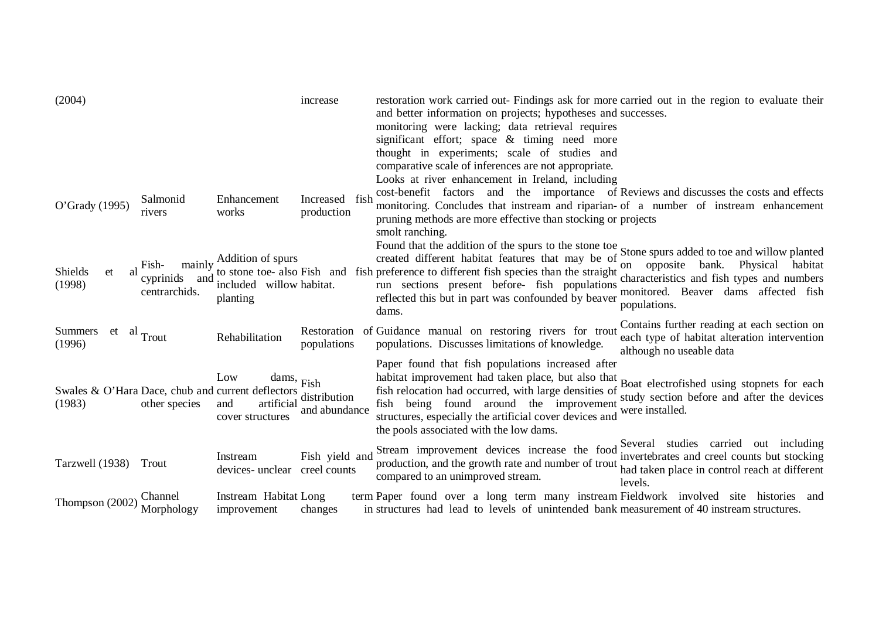| (2004)                                                                   |                                            |                                                                  | increase                     | restoration work carried out- Findings ask for more carried out in the region to evaluate their<br>and better information on projects; hypotheses and successes.<br>monitoring were lacking; data retrieval requires<br>significant effort; space & timing need more<br>thought in experiments; scale of studies and<br>comparative scale of inferences are not appropriate.<br>Looks at river enhancement in Ireland, including |                                                                                                                                                   |
|--------------------------------------------------------------------------|--------------------------------------------|------------------------------------------------------------------|------------------------------|----------------------------------------------------------------------------------------------------------------------------------------------------------------------------------------------------------------------------------------------------------------------------------------------------------------------------------------------------------------------------------------------------------------------------------|---------------------------------------------------------------------------------------------------------------------------------------------------|
| O'Grady (1995)                                                           | Salmonid<br>rivers                         | Enhancement<br>works                                             | Increased fish<br>production | cost-benefit factors and the importance of Reviews and discusses the costs and effects<br>monitoring. Concludes that instream and riparian- of a number of instream enhancement<br>pruning methods are more effective than stocking or projects<br>smolt ranching.                                                                                                                                                               |                                                                                                                                                   |
| Shields<br>et<br>(1998)                                                  | Fish-<br>cyprinids<br>and<br>centrarchids. | mainly Addition of spurs<br>included willow habitat.<br>planting |                              | Found that the addition of the spurs to the stone toe Stone spurs added to toe and willow planted<br>created different habitat features that may be of<br>to stone toe- also Fish and fish preference to different fish species than the straight<br>run sections present before- fish populations<br>reflected this but in part was confounded by beaver<br>dams.                                                               | Physical<br>on opposite<br>bank.<br>habitat<br>characteristics and fish types and numbers<br>monitored. Beaver dams affected fish<br>populations. |
| <b>Summers</b><br>$et$ al Trout<br>(1996)                                |                                            | Rehabilitation                                                   | Restoration<br>populations   | of Guidance manual on restoring rivers for trout<br>populations. Discusses limitations of knowledge.                                                                                                                                                                                                                                                                                                                             | Contains further reading at each section on<br>each type of habitat alteration intervention<br>although no useable data                           |
| Swales & O'Hara Dace, chub and current deflectors distribution<br>(1983) | other species                              | Low<br>artificial<br>and<br>cover structures                     | dams, Fish<br>and abundance  | Paper found that fish populations increased after<br>habitat improvement had taken place, but also that<br>fish relocation had occurred, with large densities of<br>fish being found around the improvement<br>structures, especially the artificial cover devices and<br>the pools associated with the low dams.                                                                                                                | Boat electrofished using stopnets for each<br>study section before and after the devices<br>were installed.                                       |
| Tarzwell (1938)                                                          | Trout                                      | Instream<br>devices- unclear creel counts                        | Fish yield and               | Stream improvement devices increase the food<br>production, and the growth rate and number of trout<br>compared to an unimproved stream.                                                                                                                                                                                                                                                                                         | Several studies carried out including<br>invertebrates and creel counts but stocking<br>had taken place in control reach at different<br>levels.  |
| Thompson (2002)                                                          | Channel<br>Morphology                      | Instream Habitat Long<br>improvement                             | changes                      | term Paper found over a long term many instream Fieldwork involved site histories and<br>in structures had lead to levels of unintended bank measurement of 40 instream structures.                                                                                                                                                                                                                                              |                                                                                                                                                   |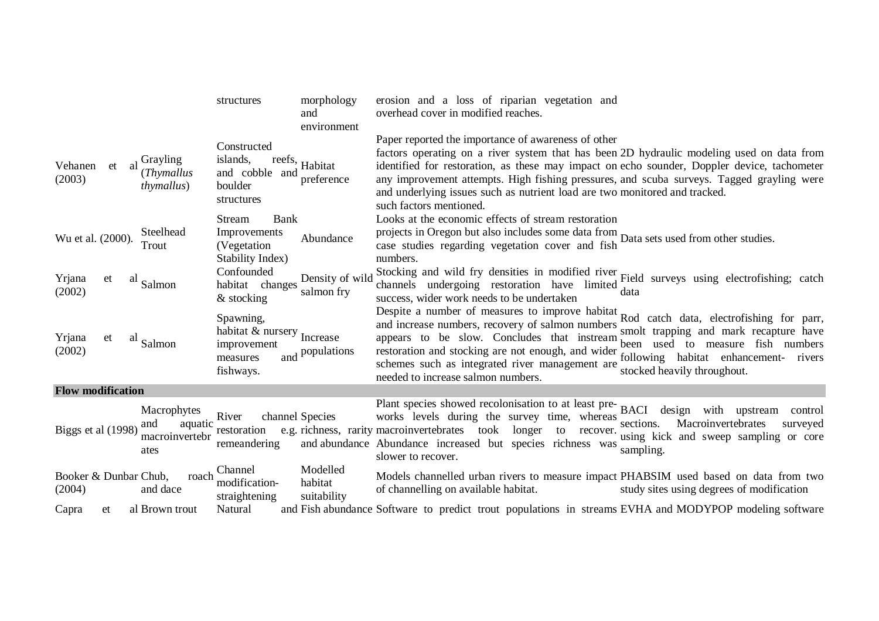|                                 |    |                 |                                          | structures                                                                                  | morphology<br>and<br>environment   | erosion and a loss of riparian vegetation and<br>overhead cover in modified reaches.                                                                                                                                                                                                                                                                                                                                                                  |                                                                                                                                                           |
|---------------------------------|----|-----------------|------------------------------------------|---------------------------------------------------------------------------------------------|------------------------------------|-------------------------------------------------------------------------------------------------------------------------------------------------------------------------------------------------------------------------------------------------------------------------------------------------------------------------------------------------------------------------------------------------------------------------------------------------------|-----------------------------------------------------------------------------------------------------------------------------------------------------------|
| Vehanen<br>(2003)               | et | Grayling<br>-al | (Thymallus<br><i>thymallus</i> )         | Constructed<br>islands,<br>reefs,<br>and cobble and<br>boulder<br>structures                | Habitat<br>preference              | Paper reported the importance of awareness of other<br>factors operating on a river system that has been 2D hydraulic modeling used on data from<br>identified for restoration, as these may impact on echo sounder, Doppler device, tachometer<br>any improvement attempts. High fishing pressures, and scuba surveys. Tagged grayling were<br>and underlying issues such as nutrient load are two monitored and tracked.<br>such factors mentioned. |                                                                                                                                                           |
| Wu et al. (2000).               |    | Trout           | Steelhead                                | Bank<br>Stream<br>Improvements<br>(Vegetation)<br>Stability Index)                          | Abundance                          | Looks at the economic effects of stream restoration<br>projects in Oregon but also includes some data from Data sets used from other studies.<br>case studies regarding vegetation cover and fish Data sets used from other studies.<br>numbers.                                                                                                                                                                                                      |                                                                                                                                                           |
| Yrjana<br>(2002)                | et | al<br>Salmon    |                                          | Confounded<br>habitat changes<br>& stocking                                                 | Density of wild<br>salmon fry      | Stocking and wild fry densities in modified river Field surveys using electrofishing; catch<br>channels undergoing restoration have limited data<br>success, wider work needs to be undertaken                                                                                                                                                                                                                                                        |                                                                                                                                                           |
| Yrjana<br>(2002)                | et | al<br>Salmon    |                                          | Spawning,<br>habitat & nursery $_{\text{Increase}}$<br>improvement<br>measures<br>fishways. | and populations                    | Despite a number of measures to improve habitat Rod catch data, electrofishing for parr,<br>and increase numbers, recovery of salmon numbers<br>appears to be slow. Concludes that instream<br>restoration and stocking are not enough, and wider<br>schemes such as integrated river management are<br>needed to increase salmon numbers.                                                                                                            | smolt trapping and mark recapture have<br>to measure fish numbers<br>been used<br>following habitat enhancement-<br>rivers<br>stocked heavily throughout. |
| <b>Flow modification</b>        |    |                 |                                          |                                                                                             |                                    |                                                                                                                                                                                                                                                                                                                                                                                                                                                       |                                                                                                                                                           |
| Biggs et al (1998)              |    | and<br>ates     | Macrophytes<br>aquatic<br>macroinvertebr | River<br>restoration<br>remeandering                                                        | channel Species                    | Plant species showed recolonisation to at least pre-BACI<br>works levels during the survey time, whereas<br>e.g. richness, rarity macroinvertebrates took longer to<br>recover.<br>and abundance Abundance increased but species richness was<br>slower to recover.                                                                                                                                                                                   | design<br>with<br>upstream<br>control<br>Macroinvertebrates<br>sections.<br>surveyed<br>using kick and sweep sampling or core<br>sampling.                |
| Booker & Dunbar Chub,<br>(2004) |    | and dace        | roach                                    | Channel<br>modification-<br>straightening                                                   | Modelled<br>habitat<br>suitability | Models channelled urban rivers to measure impact PHABSIM used based on data from two<br>of channelling on available habitat.                                                                                                                                                                                                                                                                                                                          | study sites using degrees of modification                                                                                                                 |
| Capra                           | et |                 | al Brown trout                           | Natural                                                                                     |                                    | and Fish abundance Software to predict trout populations in streams EVHA and MODYPOP modeling software                                                                                                                                                                                                                                                                                                                                                |                                                                                                                                                           |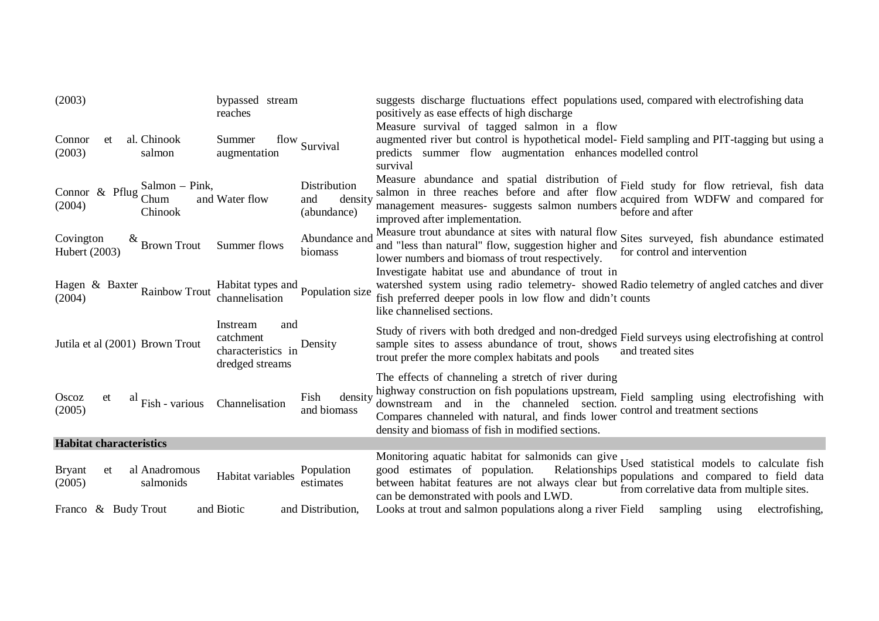| (2003)                         |    |                                   | bypassed stream<br>reaches                                            |                                               | suggests discharge fluctuations effect populations used, compared with electrofishing data<br>positively as ease effects of high discharge                                                                                                                                                                                                                             |
|--------------------------------|----|-----------------------------------|-----------------------------------------------------------------------|-----------------------------------------------|------------------------------------------------------------------------------------------------------------------------------------------------------------------------------------------------------------------------------------------------------------------------------------------------------------------------------------------------------------------------|
| Connor<br>(2003)               | et | al. Chinook<br>salmon             | Summer<br>augmentation                                                | flow Survival                                 | Measure survival of tagged salmon in a flow<br>augmented river but control is hypothetical model- Field sampling and PIT-tagging but using a<br>predicts summer flow augmentation enhances modelled control<br>survival                                                                                                                                                |
| Connor & Pflug<br>(2004)       |    | Salmon – Pink,<br>Chum<br>Chinook | and Water flow                                                        | Distribution<br>density<br>and<br>(abundance) | Measure abundance and spatial distribution of Field study for flow retrieval, fish data salmon in three reaches before and after flow serviced from WDEW and aggregated for<br>acquired from WDFW and compared for<br>management measures- suggests salmon numbers we hefore and after<br>improved after implementation.                                               |
| Covington<br>Hubert (2003)     |    | $\alpha$ Brown Trout              | Summer flows                                                          | Abundance and<br>biomass                      | Measure trout abundance at sites with natural flow<br>Measure trout abundance at sites with natural flow<br>Sites surveyed, fish abundance estimated<br>and "less than natural" flow, suggestion higher and Sucs surveyor, then we want<br>lower numbers and biomass of trout respectively.                                                                            |
| (2004)                         |    | Hagen & Baxter Rainbow Trout      | Habitat types and Population size<br>channelisation                   |                                               | Investigate habitat use and abundance of trout in<br>watershed system using radio telemetry-showed Radio telemetry of angled catches and diver<br>fish preferred deeper pools in low flow and didn't counts<br>like channelised sections.                                                                                                                              |
|                                |    | Jutila et al (2001) Brown Trout   | Instream<br>and<br>catchment<br>characteristics in<br>dredged streams | Density                                       | Study of rivers with both dredged and non-dredged<br>Field surveys using electrofishing at control<br>sample sites to assess abundance of trout, shows<br>and treated sites<br>trout prefer the more complex habitats and pools                                                                                                                                        |
| Oscoz<br>(2005)                | et | a<br>Fish - various               | Channelisation                                                        | density<br>Fish<br>and biomass                | The effects of channeling a stretch of river during<br>highway construction on fish populations upstream, Field sampling using electrofishing with<br>downstream and in the channeled section. There same waves were downstream and in the channeled section.<br>Compares channeled with natural, and finds lower<br>density and biomass of fish in modified sections. |
| <b>Habitat characteristics</b> |    |                                   |                                                                       |                                               |                                                                                                                                                                                                                                                                                                                                                                        |
| <b>Bryant</b><br>(2005)        | et | al Anadromous<br>salmonids        | Habitat variables                                                     | Population<br>estimates                       | Monitoring aquatic habitat for salmonids can give Used statistical models to calculate fish<br>good estimates of population.<br>Relationships Cool buttons.<br>between habitat features are not always clear but populations and compare multiple sites.<br>can be demonstrated with pools and LWD.                                                                    |
| Franco & Budy Trout            |    |                                   | and Biotic                                                            | and Distribution,                             | Looks at trout and salmon populations along a river Field sampling using<br>electrofishing,                                                                                                                                                                                                                                                                            |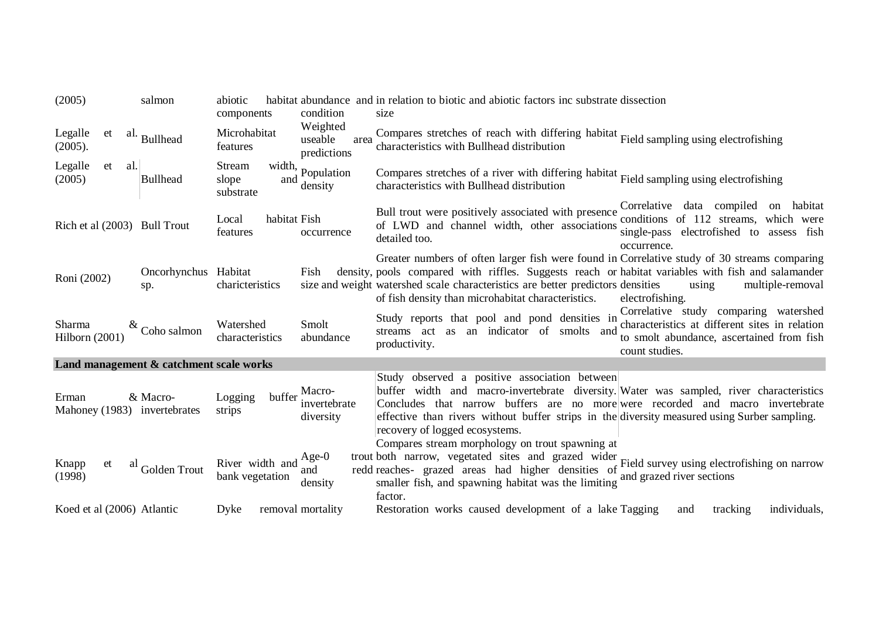| (2005)                                  | salmon                      | abiotic                             |                                            | habitat abundance and in relation to biotic and abiotic factors inc substrate dissection                                                                                                                                                                                                                                                                                |                                                                                                                                      |
|-----------------------------------------|-----------------------------|-------------------------------------|--------------------------------------------|-------------------------------------------------------------------------------------------------------------------------------------------------------------------------------------------------------------------------------------------------------------------------------------------------------------------------------------------------------------------------|--------------------------------------------------------------------------------------------------------------------------------------|
|                                         |                             | components                          | condition                                  | size                                                                                                                                                                                                                                                                                                                                                                    |                                                                                                                                      |
| Legalle<br>et<br>(2005).                | al. Bullhead                | Microhabitat<br>features            | Weighted<br>useable<br>area<br>predictions | Compares stretches of reach with differing habitat Field sampling using electrofishing<br>characteristics with Bullhead distribution                                                                                                                                                                                                                                    |                                                                                                                                      |
| Legalle<br>al.<br>et<br>(2005)          | <b>Bullhead</b>             | Stream<br>slope<br>and<br>substrate | width, Population<br>density               | Compares stretches of a river with differing habitat Field sampling using electrofishing<br>characteristics with Bullhead distribution                                                                                                                                                                                                                                  |                                                                                                                                      |
| Rich et al (2003) Bull Trout            |                             | habitat Fish<br>Local<br>features   | occurrence                                 | Bull trout were positively associated with presence<br>of LWD and channel width, other associations<br>detailed too.<br>occurrence.                                                                                                                                                                                                                                     | Correlative data compiled on habitat<br>conditions of 112 streams, which were<br>single-pass electrofished to assess fish            |
| Roni (2002)                             | Oncorhynchus Habitat<br>sp. | charicteristics                     | Fish                                       | Greater numbers of often larger fish were found in Correlative study of 30 streams comparing<br>density, pools compared with riffles. Suggests reach or habitat variables with fish and salamander<br>size and weight watershed scale characteristics are better predictors densities<br>using<br>of fish density than microhabitat characteristics.<br>electrofishing. | multiple-removal                                                                                                                     |
| Sharma<br>Hilborn (2001)                | $\frac{\&}{}$ Coho salmon   | Watershed<br>characteristics        | Smolt<br>abundance                         | Study reports that pool and pond densities in<br>streams act as an indicator of smolts and<br>productivity.<br>count studies.                                                                                                                                                                                                                                           | Correlative study comparing watershed<br>characteristics at different sites in relation<br>to smolt abundance, ascertained from fish |
| Land management & catchment scale works |                             |                                     |                                            |                                                                                                                                                                                                                                                                                                                                                                         |                                                                                                                                      |
| Erman<br>Mahoney (1983) invertebrates   | & Macro-                    | buffer<br>Logging<br>strips         | Macro-<br>invertebrate<br>diversity        | Study observed a positive association between<br>buffer width and macro-invertebrate diversity. Water was sampled, river characteristics<br>Concludes that narrow buffers are no more were recorded and macro invertebrate<br>effective than rivers without buffer strips in the diversity measured using Surber sampling.<br>recovery of logged ecosystems.            |                                                                                                                                      |
| Knapp<br>et<br>al<br>(1998)             | Golden Trout                | River width and<br>bank vegetation  | Age- $0$<br>and<br>density                 | Compares stream morphology on trout spawning at<br>trout both narrow, vegetated sites and grazed wider<br>Field survey using electrofishing on narrow<br>redd reaches- grazed areas had higher densities of<br>and grazed river sections<br>smaller fish, and spawning habitat was the limiting<br>factor.                                                              |                                                                                                                                      |
| Koed et al (2006) Atlantic              |                             | Dyke                                | removal mortality                          | Restoration works caused development of a lake Tagging<br>and                                                                                                                                                                                                                                                                                                           | individuals,<br>tracking                                                                                                             |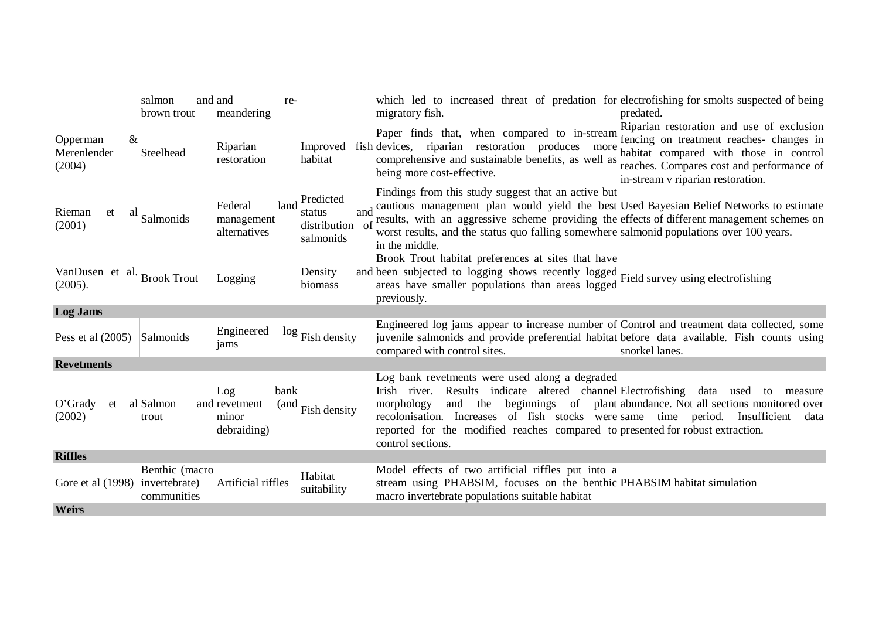|                                        | salmon<br>brown trout                          | and and<br>re-<br>meandering                         |                                                         | which led to increased threat of predation for electrofishing for smolts suspected of being<br>migratory fish.<br>predated.                                                                                                                                                                                                                                                                                                   |
|----------------------------------------|------------------------------------------------|------------------------------------------------------|---------------------------------------------------------|-------------------------------------------------------------------------------------------------------------------------------------------------------------------------------------------------------------------------------------------------------------------------------------------------------------------------------------------------------------------------------------------------------------------------------|
| Opperman<br>Merenlender<br>(2004)      | &<br>Steelhead                                 | Riparian<br>restoration                              | habitat                                                 | Riparian restoration and use of exclusion<br>Paper finds that, when compared to in-stream represent reaches- changes in<br>Improved fish devices, riparian restoration produces more habitat compared with those in control<br>comprehensive and sustainable benefits, as well as<br>reaches. Compares cost and performance of<br>being more cost-effective.<br>in-stream v riparian restoration.                             |
| Rieman<br>et<br>(2001)                 | al<br>Salmonids                                | Federal<br>land<br>management<br>alternatives        | Predicted<br>and<br>status<br>distribution<br>salmonids | Findings from this study suggest that an active but<br>cautious management plan would yield the best Used Bayesian Belief Networks to estimate<br>of results, with an aggressive scheme providing the effects of different management schemes on<br>worst results, and the status quo falling somewhere salmonid populations over 100 years.<br>in the middle.<br>Brook Trout habitat preferences at sites that have          |
| VanDusen et al. Brook Trout<br>(2005). |                                                | Logging                                              | Density<br>biomass                                      | and been subjected to logging shows recently logged Field survey using electrofishing<br>areas have smaller populations than areas logged<br>previously.                                                                                                                                                                                                                                                                      |
| <b>Log Jams</b>                        |                                                |                                                      |                                                         |                                                                                                                                                                                                                                                                                                                                                                                                                               |
| Pess et al $(2005)$                    | Salmonids                                      | Engineered<br>jams                                   | $\log$ Fish density                                     | Engineered log jams appear to increase number of Control and treatment data collected, some<br>juvenile salmonids and provide preferential habitat before data available. Fish counts using<br>compared with control sites.<br>snorkel lanes.                                                                                                                                                                                 |
| <b>Revetments</b>                      |                                                |                                                      |                                                         |                                                                                                                                                                                                                                                                                                                                                                                                                               |
| $O'$ Grady<br>et<br>(2002)             | al Salmon<br>trout                             | Log<br>bank<br>and revetment<br>minor<br>debraiding) | (and Fish density                                       | Log bank revetments were used along a degraded<br>Irish river. Results indicate altered channel Electrofishing data used to<br>measure<br>and the beginnings of plant abundance. Not all sections monitored over<br>morphology<br>recolonisation. Increases of fish stocks were same time period. Insufficient<br>data<br>reported for the modified reaches compared to presented for robust extraction.<br>control sections. |
| <b>Riffles</b>                         |                                                |                                                      |                                                         |                                                                                                                                                                                                                                                                                                                                                                                                                               |
| Gore et al (1998)                      | Benthic (macro<br>invertebrate)<br>communities | Artificial riffles                                   | Habitat<br>suitability                                  | Model effects of two artificial riffles put into a<br>stream using PHABSIM, focuses on the benthic PHABSIM habitat simulation<br>macro invertebrate populations suitable habitat                                                                                                                                                                                                                                              |
| <b>Weirs</b>                           |                                                |                                                      |                                                         |                                                                                                                                                                                                                                                                                                                                                                                                                               |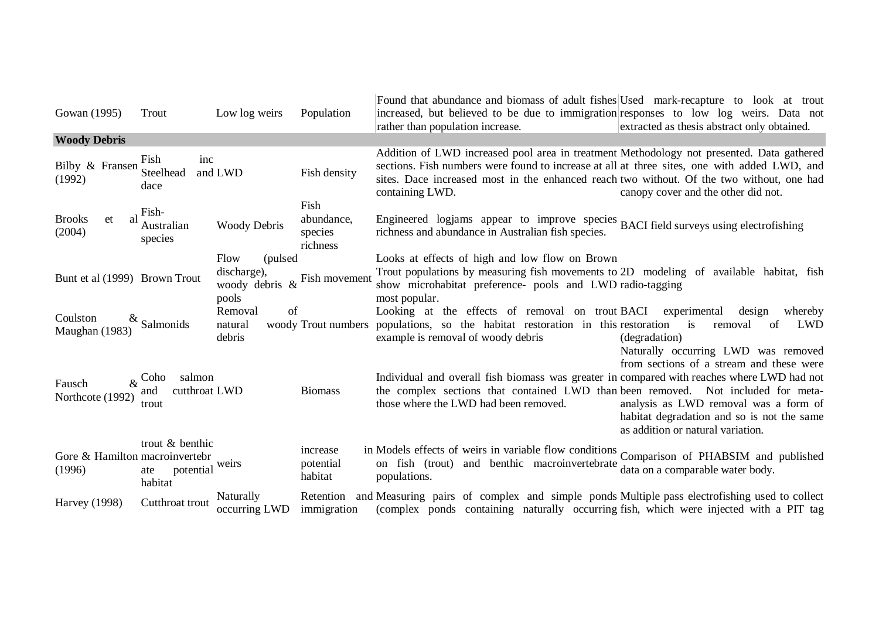| Gowan (1995)                             | Trout                                                | Low log weirs                                           | Population                                | Found that abundance and biomass of adult fishes Used mark-recapture to look at trout<br>increased, but believed to be due to immigration responses to low log weirs. Data not<br>rather than population increase.                                                                                        | extracted as thesis abstract only obtained.                                                                                                                          |
|------------------------------------------|------------------------------------------------------|---------------------------------------------------------|-------------------------------------------|-----------------------------------------------------------------------------------------------------------------------------------------------------------------------------------------------------------------------------------------------------------------------------------------------------------|----------------------------------------------------------------------------------------------------------------------------------------------------------------------|
| <b>Woody Debris</b>                      |                                                      |                                                         |                                           |                                                                                                                                                                                                                                                                                                           |                                                                                                                                                                      |
| Bilby & Fransen Steelhead<br>(1992)      | inc<br>Fish<br>dace                                  | and LWD                                                 | Fish density                              | Addition of LWD increased pool area in treatment Methodology not presented. Data gathered<br>sections. Fish numbers were found to increase at all at three sites, one with added LWD, and<br>sites. Dace increased most in the enhanced reach two without. Of the two without, one had<br>containing LWD. | canopy cover and the other did not.                                                                                                                                  |
| <b>Brooks</b><br>et<br>al<br>(2004)      | Fish-<br>Australian<br>species                       | <b>Woody Debris</b>                                     | Fish<br>abundance,<br>species<br>richness | Engineered logjams appear to improve species BACI field surveys using electrofishing<br>richness and abundance in Australian fish species.                                                                                                                                                                |                                                                                                                                                                      |
|                                          |                                                      | Flow<br>(pulsed)                                        |                                           | Looks at effects of high and low flow on Brown                                                                                                                                                                                                                                                            |                                                                                                                                                                      |
| Bunt et al (1999) Brown Trout            |                                                      | discharge),<br>woody debris $\&$ Fish movement<br>pools |                                           | Trout populations by measuring fish movements to 2D modeling of available habitat, fish<br>show microhabitat preference- pools and LWD radio-tagging<br>most popular.                                                                                                                                     |                                                                                                                                                                      |
| Coulston<br>$\propto$<br>Maughan (1983)  | Salmonids                                            | of<br>Removal<br>natural<br>debris                      |                                           | Looking at the effects of removal on trout BACI experimental<br>woody Trout numbers populations, so the habitat restoration in this restoration<br>example is removal of woody debris                                                                                                                     | design<br>whereby<br>is<br>LWD<br>removal<br>of<br>(degradation)<br>Naturally occurring LWD was removed                                                              |
| Fausch<br>Northcote (1992)               | salmon<br>$\&$ Coho<br>and<br>cutthroat LWD<br>trout |                                                         | <b>Biomass</b>                            | Individual and overall fish biomass was greater in compared with reaches where LWD had not<br>the complex sections that contained LWD than been removed. Not included for meta-<br>those where the LWD had been removed.                                                                                  | from sections of a stream and these were<br>analysis as LWD removal was a form of<br>habitat degradation and so is not the same<br>as addition or natural variation. |
| Gore & Hamilton macroinvertebr<br>(1996) | trout & benthic<br>potential<br>ate<br>habitat       | weirs                                                   | increase<br>potential<br>habitat          | in Models effects of weirs in variable flow conditions Comparison of PHABSIM and published<br>on fish (trout) and benthic macroinvertebrate<br>populations.                                                                                                                                               | data on a comparable water body.                                                                                                                                     |
| <b>Harvey</b> (1998)                     | Cutthroat trout                                      | Naturally<br>occurring LWD                              | immigration                               | Retention and Measuring pairs of complex and simple ponds Multiple pass electrofishing used to collect<br>(complex ponds containing naturally occurring fish, which were injected with a PIT tag                                                                                                          |                                                                                                                                                                      |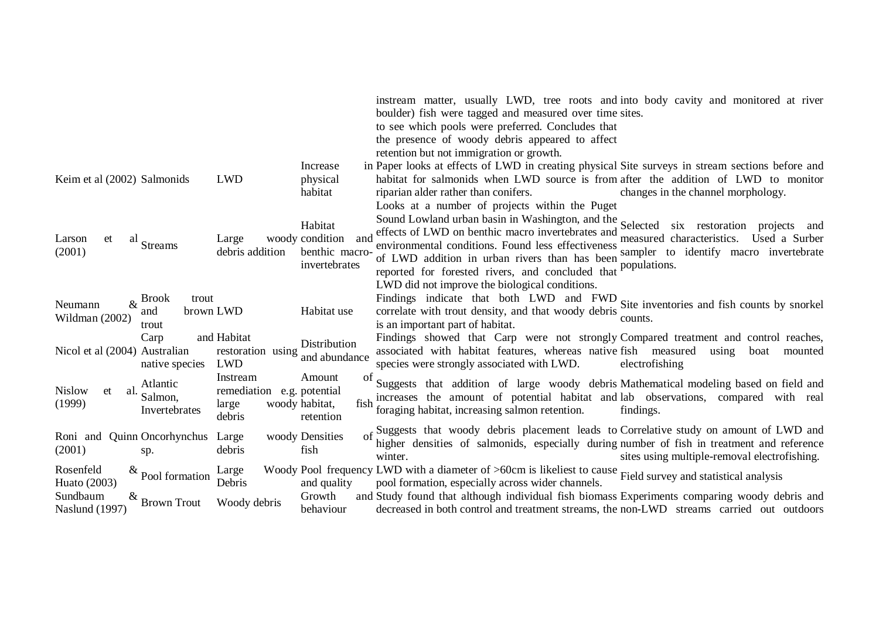|                                                                              |                                                           |                                                     | instream matter, usually LWD, tree roots and into body cavity and monitored at river<br>boulder) fish were tagged and measured over time sites.                                                                               |                                                            |  |  |  |  |
|------------------------------------------------------------------------------|-----------------------------------------------------------|-----------------------------------------------------|-------------------------------------------------------------------------------------------------------------------------------------------------------------------------------------------------------------------------------|------------------------------------------------------------|--|--|--|--|
|                                                                              |                                                           |                                                     | to see which pools were preferred. Concludes that                                                                                                                                                                             |                                                            |  |  |  |  |
|                                                                              |                                                           |                                                     | the presence of woody debris appeared to affect                                                                                                                                                                               |                                                            |  |  |  |  |
|                                                                              |                                                           |                                                     | retention but not immigration or growth.                                                                                                                                                                                      |                                                            |  |  |  |  |
|                                                                              |                                                           | Increase                                            | in Paper looks at effects of LWD in creating physical Site surveys in stream sections before and                                                                                                                              |                                                            |  |  |  |  |
| Keim et al (2002) Salmonids                                                  | <b>LWD</b>                                                | physical                                            | habitat for salmonids when LWD source is from after the addition of LWD to monitor                                                                                                                                            |                                                            |  |  |  |  |
|                                                                              |                                                           | habitat                                             | riparian alder rather than conifers.                                                                                                                                                                                          | changes in the channel morphology.                         |  |  |  |  |
|                                                                              |                                                           |                                                     | Looks at a number of projects within the Puget                                                                                                                                                                                |                                                            |  |  |  |  |
| Larson<br>et<br>al<br>Streams                                                | Large<br>debris addition                                  | Habitat<br>woody condition<br>and                   | Sound Lowland urban basin in Washington, and the Selected six restoration<br>effects of LWD on benthic macro invertebrates and<br>environmental conditions. Found less effectiveness                                          | projects and<br>measured characteristics.<br>Used a Surber |  |  |  |  |
| (2001)                                                                       |                                                           | benthic macro-                                      | of LWD addition in urban rivers than has been                                                                                                                                                                                 | sampler to identify macro invertebrate                     |  |  |  |  |
|                                                                              |                                                           | invertebrates                                       | reported for forested rivers, and concluded that                                                                                                                                                                              | populations.                                               |  |  |  |  |
|                                                                              |                                                           |                                                     | LWD did not improve the biological conditions.                                                                                                                                                                                |                                                            |  |  |  |  |
| <b>Brook</b><br>trout<br>$\&$<br>Neumann                                     |                                                           |                                                     | Findings indicate that both LWD and FWD                                                                                                                                                                                       | Site inventories and fish counts by snorkel                |  |  |  |  |
| brown LWD<br>and<br>Wildman (2002)<br>trout                                  |                                                           | Habitat use                                         | correlate with trout density, and that woody debris<br>is an important part of habitat.                                                                                                                                       | counts.                                                    |  |  |  |  |
| Carp<br>Nicol et al (2004) Australian<br>native species                      | and Habitat<br>restoration using<br><b>LWD</b>            | Distribution<br>and abundance                       | Findings showed that Carp were not strongly Compared treatment and control reaches,<br>associated with habitat features, whereas native fish measured<br>species were strongly associated with LWD.                           | using<br>boat<br>mounted<br>electrofishing                 |  |  |  |  |
| Atlantic<br><b>Nislow</b><br>et<br>al.<br>Salmon,<br>(1999)<br>Invertebrates | Instream<br>remediation e.g. potential<br>large<br>debris | Amount<br>of<br>woody habitat,<br>fish<br>retention | Suggests that addition of large woody debris Mathematical modeling based on field and<br>increases the amount of potential habitat and lab observations, compared with real<br>foraging habitat, increasing salmon retention. | findings.                                                  |  |  |  |  |
| <b>Quinn Oncorhynchus</b><br>Roni and<br>(2001)<br>sp.                       | Large<br>debris                                           | woody Densities<br>fish                             | of Suggests that woody debris placement leads to Correlative study on amount of LWD and<br>higher densities of salmonids, especially during number of fish in treatment and reference<br>winter.                              | sites using multiple-removal electrofishing.               |  |  |  |  |
| Rosenfeld<br>$\&$ Pool formation<br>Huato (2003)                             | Large<br>Debris                                           | and quality                                         | Woody Pool frequency LWD with a diameter of >60cm is likeliest to cause Field survey and statistical analysis<br>pool formation, especially across wider channels.                                                            |                                                            |  |  |  |  |
| Sundbaum<br>&<br><b>Brown Trout</b><br><b>Naslund</b> (1997)                 | Woody debris                                              | Growth<br>behaviour                                 | and Study found that although individual fish biomass Experiments comparing woody debris and<br>decreased in both control and treatment streams, the non-LWD streams carried out outdoors                                     |                                                            |  |  |  |  |